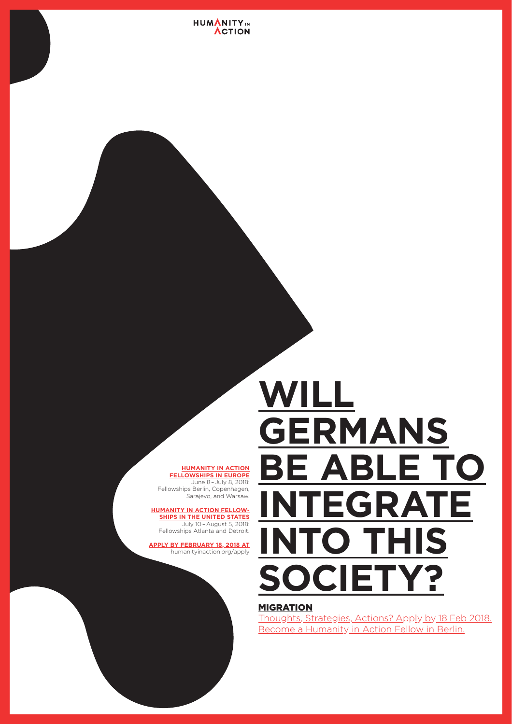#### **HUMANITY IN ACTION FELLOWSHIPS IN EUROPE**

June 8 – July 8, 2018: Fellowships Berlin, Copenhagen, Sarajevo, and Warsaw.

#### **HUMANITY IN ACTION FELLOW-SHIPS IN THE UNITED STATES**

July 10 – August 5, 2018: Fellowships Atlanta and Detroit.

#### **APPLY BY FEBRUARY 18, 2018 AT**

humanityinaction.org/apply



## **WILL GERMANS BE ABLE TO INTEGRATE INTO THIS SOCIETY?**

## MIGRATION

Thoughts, Strategies, Actions? Apply by 18 Feb 2018. Become a Humanity in Action Fellow in Berlin.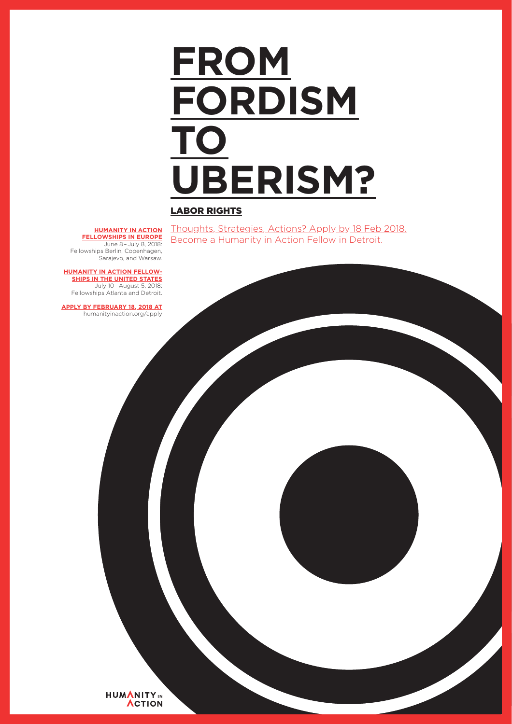# **FROM FORDISM TO UBERISM?**

## LABOR RIGHTS

Thoughts, Strategies, Actions? Apply by 18 Feb 2018. Become a Humanity in Action Fellow in Detroit.

**HUMANITY IN ACTION FELLOWSHIPS IN EUROPE**

June 8 – July 8, 2018: Fellowships Berlin, Copenhagen, Sarajevo, and Warsaw.

**HUMANITY IN ACTION FELLOW-**

**SHIPS IN THE UNITED STATES** July 10 – August 5, 2018: Fellowships Atlanta and Detroit.

**APPLY BY FEBRUARY 18, 2018 AT** humanityinaction.org/apply

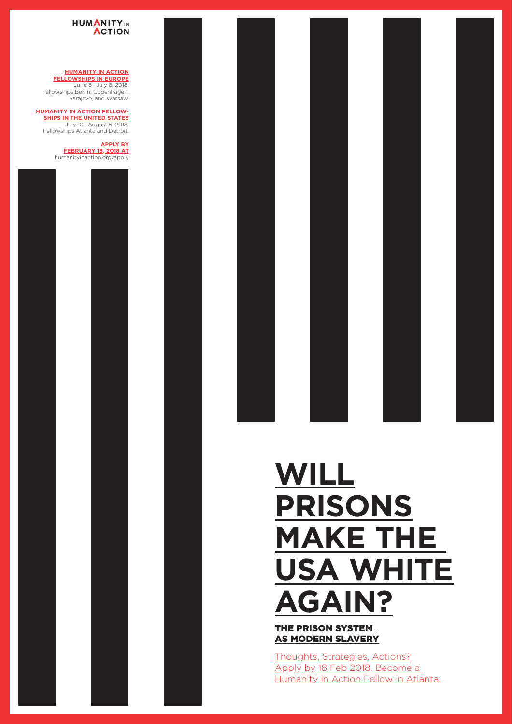## THE PRISON SYSTEM AS MODERN SLAVERY

Thoughts, Strategies, Actions? Apply by 18 Feb 2018. Become a Humanity in Action Fellow in Atlanta.



## **USA WHITE AGAIN?**

### HUMANITYIN **ACTION**

#### **HUMANITY IN ACTION FELLOWSHIPS IN EUROPE**

June 8 – July 8, 2018: Fellowships Berlin, Copenhagen, Sarajevo, and Warsaw.

#### **HUMANITY IN ACTION FELLOW-SHIPS IN THE UNITED STATES**

July 10 – August 5, 2018: Fellowships Atlanta and Detroit.

#### **APPLY BY FEBRUARY 18, 2018 AT** humanityinaction.org/apply









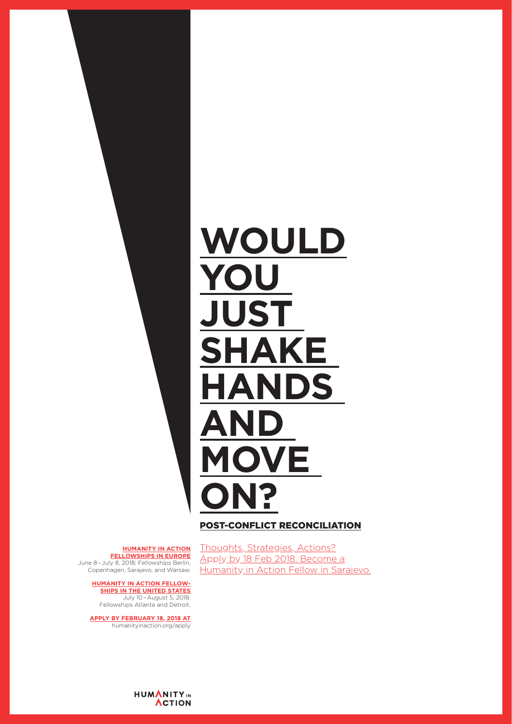

### POST-CONFLICT RECONCILIATION

#### **HUMANITY IN ACTION FELLOWSHIPS IN EUROPE**

Thoughts, Strategies, Actions? Apply by 18 Feb 2018. Become a Humanity in Action Fellow in Sarajevo.

June 8 – July 8, 2018: Fellowships Berlin, Copenhagen, Sarajevo, and Warsaw.

### **HUMANITY IN ACTION FELLOW-**

**SHIPS IN THE UNITED STATES**

July 10 – August 5, 2018: Fellowships Atlanta and Detroit.

#### **APPLY BY FEBRUARY 18, 2018 AT**

humanityinaction.org/apply

**HUMANITY IN ACTION**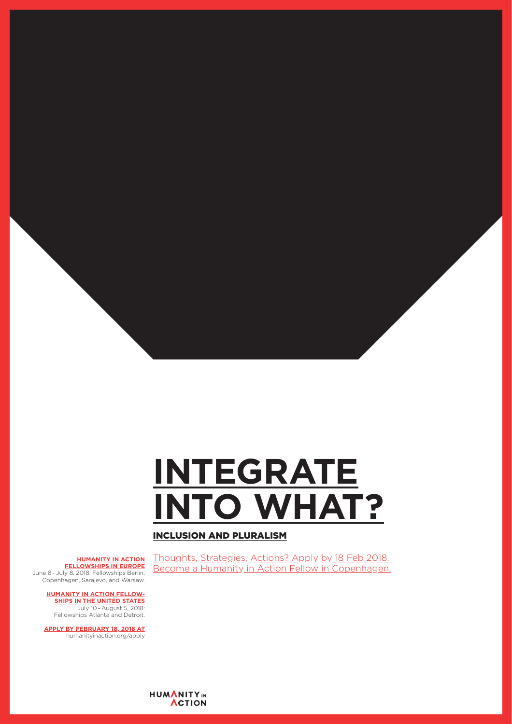## **INTEGRATE INTO WHAT?**

INCLUSION AND PLURALISM

Thoughts, Strategies, Actions? Apply by 18 Feb 2018.

Become a Humanity in Action Fellow in Copenhagen.

#### **HUMANITY IN ACTION FELLOWSHIPS IN EUROPE**

June 8 – July 8, 2018: Fellowships Berlin, Copenhagen, Sarajevo, and Warsaw.

#### **HUMANITY IN ACTION FELLOW-SHIPS IN THE UNITED STATES**

July 10 – August 5, 2018: Fellowships Atlanta and Detroit.

#### **APPLY BY FEBRUARY 18, 2018 AT**

humanityinaction.org/apply

HUMANITYIN **ACTION**